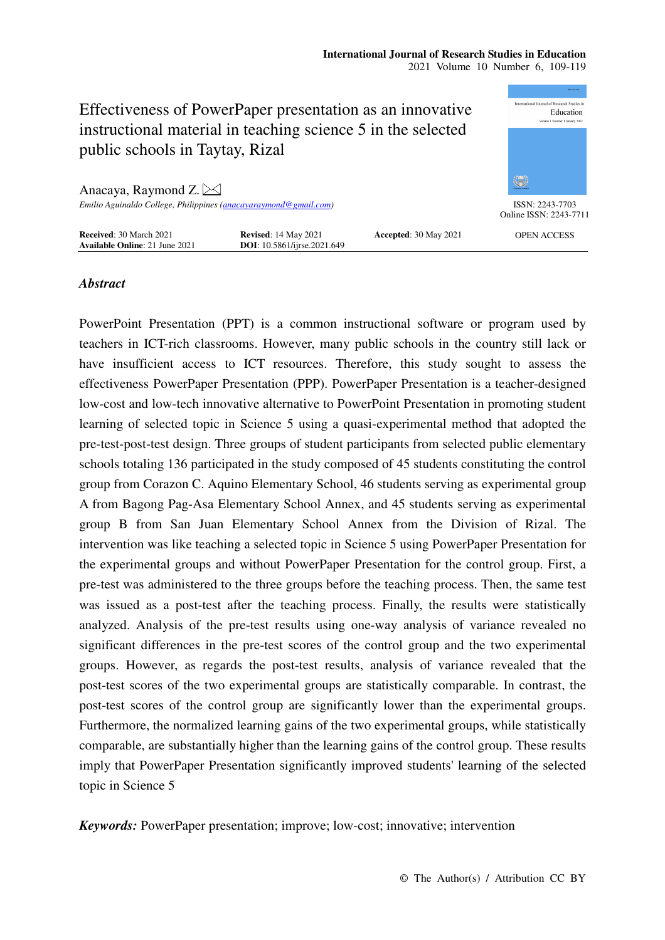|                                                                         |                                                            |                       | <b>WARE TRANSPER</b>                                      |
|-------------------------------------------------------------------------|------------------------------------------------------------|-----------------------|-----------------------------------------------------------|
| Effectiveness of PowerPaper presentation as an innovative               |                                                            |                       | International Journal of Research Studies in<br>Education |
|                                                                         |                                                            |                       | Volume 1 Number 1 January 2012                            |
| instructional material in teaching science 5 in the selected            |                                                            |                       |                                                           |
| public schools in Taytay, Rizal                                         |                                                            |                       |                                                           |
|                                                                         |                                                            |                       |                                                           |
| Anacaya, Raymond Z. $\boxtimes$                                         |                                                            |                       | 徽                                                         |
| Emilio Aguinaldo College, Philippines (anacayaraymond@gmail.com)        |                                                            |                       | ISSN: 2243-7703<br>Online ISSN: 2243-7711                 |
| <b>Received: 30 March 2021</b><br><b>Available Online: 21 June 2021</b> | <b>Revised:</b> 14 May 2021<br>DOI: 10.5861/ijrse.2021.649 | Accepted: 30 May 2021 | <b>OPEN ACCESS</b>                                        |

# *Abstract*

PowerPoint Presentation (PPT) is a common instructional software or program used by teachers in ICT-rich classrooms. However, many public schools in the country still lack or have insufficient access to ICT resources. Therefore, this study sought to assess the effectiveness PowerPaper Presentation (PPP). PowerPaper Presentation is a teacher-designed low-cost and low-tech innovative alternative to PowerPoint Presentation in promoting student learning of selected topic in Science 5 using a quasi-experimental method that adopted the pre-test-post-test design. Three groups of student participants from selected public elementary schools totaling 136 participated in the study composed of 45 students constituting the control group from Corazon C. Aquino Elementary School, 46 students serving as experimental group A from Bagong Pag-Asa Elementary School Annex, and 45 students serving as experimental group B from San Juan Elementary School Annex from the Division of Rizal. The intervention was like teaching a selected topic in Science 5 using PowerPaper Presentation for the experimental groups and without PowerPaper Presentation for the control group. First, a pre-test was administered to the three groups before the teaching process. Then, the same test was issued as a post-test after the teaching process. Finally, the results were statistically analyzed. Analysis of the pre-test results using one-way analysis of variance revealed no significant differences in the pre-test scores of the control group and the two experimental groups. However, as regards the post-test results, analysis of variance revealed that the post-test scores of the two experimental groups are statistically comparable. In contrast, the post-test scores of the control group are significantly lower than the experimental groups. Furthermore, the normalized learning gains of the two experimental groups, while statistically comparable, are substantially higher than the learning gains of the control group. These results imply that PowerPaper Presentation significantly improved students' learning of the selected topic in Science 5

*Keywords:* PowerPaper presentation; improve; low-cost; innovative; intervention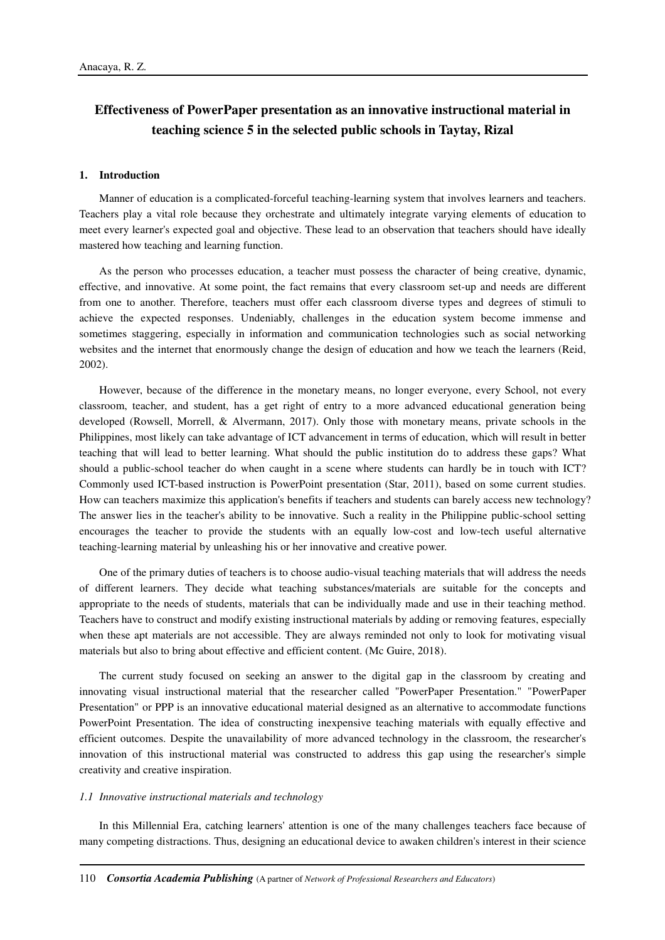# **Effectiveness of PowerPaper presentation as an innovative instructional material in teaching science 5 in the selected public schools in Taytay, Rizal**

#### **1. Introduction**

Manner of education is a complicated-forceful teaching-learning system that involves learners and teachers. Teachers play a vital role because they orchestrate and ultimately integrate varying elements of education to meet every learner's expected goal and objective. These lead to an observation that teachers should have ideally mastered how teaching and learning function.

As the person who processes education, a teacher must possess the character of being creative, dynamic, effective, and innovative. At some point, the fact remains that every classroom set-up and needs are different from one to another. Therefore, teachers must offer each classroom diverse types and degrees of stimuli to achieve the expected responses. Undeniably, challenges in the education system become immense and sometimes staggering, especially in information and communication technologies such as social networking websites and the internet that enormously change the design of education and how we teach the learners (Reid, 2002).

However, because of the difference in the monetary means, no longer everyone, every School, not every classroom, teacher, and student, has a get right of entry to a more advanced educational generation being developed (Rowsell, Morrell, & Alvermann, 2017). Only those with monetary means, private schools in the Philippines, most likely can take advantage of ICT advancement in terms of education, which will result in better teaching that will lead to better learning. What should the public institution do to address these gaps? What should a public-school teacher do when caught in a scene where students can hardly be in touch with ICT? Commonly used ICT-based instruction is PowerPoint presentation (Star, 2011), based on some current studies. How can teachers maximize this application's benefits if teachers and students can barely access new technology? The answer lies in the teacher's ability to be innovative. Such a reality in the Philippine public-school setting encourages the teacher to provide the students with an equally low-cost and low-tech useful alternative teaching-learning material by unleashing his or her innovative and creative power.

One of the primary duties of teachers is to choose audio-visual teaching materials that will address the needs of different learners. They decide what teaching substances/materials are suitable for the concepts and appropriate to the needs of students, materials that can be individually made and use in their teaching method. Teachers have to construct and modify existing instructional materials by adding or removing features, especially when these apt materials are not accessible. They are always reminded not only to look for motivating visual materials but also to bring about effective and efficient content. (Mc Guire, 2018).

The current study focused on seeking an answer to the digital gap in the classroom by creating and innovating visual instructional material that the researcher called "PowerPaper Presentation." "PowerPaper Presentation" or PPP is an innovative educational material designed as an alternative to accommodate functions PowerPoint Presentation. The idea of constructing inexpensive teaching materials with equally effective and efficient outcomes. Despite the unavailability of more advanced technology in the classroom, the researcher's innovation of this instructional material was constructed to address this gap using the researcher's simple creativity and creative inspiration.

### *1.1 Innovative instructional materials and technology*

In this Millennial Era, catching learners' attention is one of the many challenges teachers face because of many competing distractions. Thus, designing an educational device to awaken children's interest in their science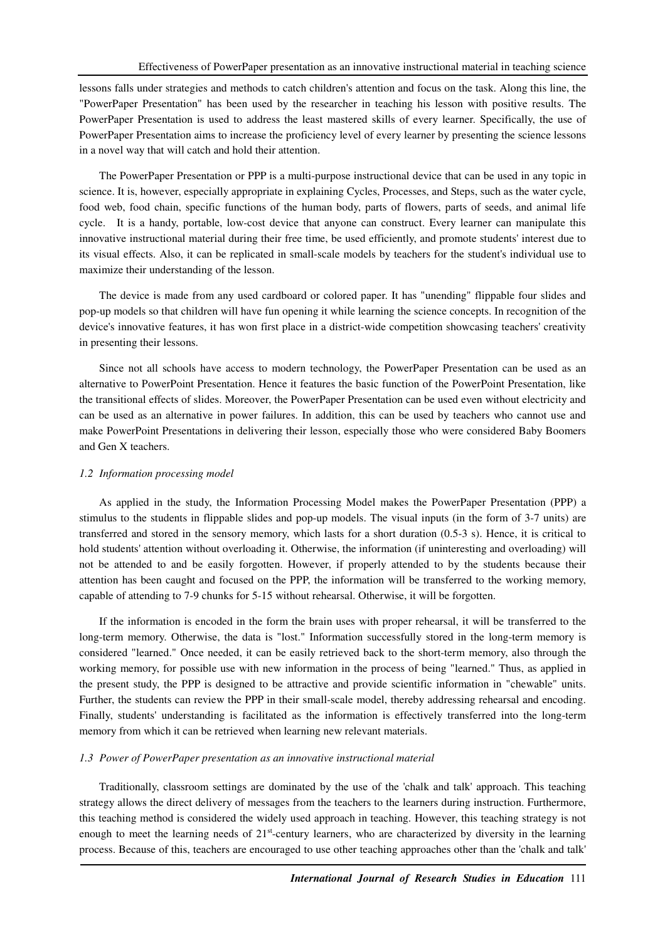lessons falls under strategies and methods to catch children's attention and focus on the task. Along this line, the "PowerPaper Presentation" has been used by the researcher in teaching his lesson with positive results. The PowerPaper Presentation is used to address the least mastered skills of every learner. Specifically, the use of PowerPaper Presentation aims to increase the proficiency level of every learner by presenting the science lessons in a novel way that will catch and hold their attention.

The PowerPaper Presentation or PPP is a multi-purpose instructional device that can be used in any topic in science. It is, however, especially appropriate in explaining Cycles, Processes, and Steps, such as the water cycle, food web, food chain, specific functions of the human body, parts of flowers, parts of seeds, and animal life cycle. It is a handy, portable, low-cost device that anyone can construct. Every learner can manipulate this innovative instructional material during their free time, be used efficiently, and promote students' interest due to its visual effects. Also, it can be replicated in small-scale models by teachers for the student's individual use to maximize their understanding of the lesson.

The device is made from any used cardboard or colored paper. It has "unending" flippable four slides and pop-up models so that children will have fun opening it while learning the science concepts. In recognition of the device's innovative features, it has won first place in a district-wide competition showcasing teachers' creativity in presenting their lessons.

Since not all schools have access to modern technology, the PowerPaper Presentation can be used as an alternative to PowerPoint Presentation. Hence it features the basic function of the PowerPoint Presentation, like the transitional effects of slides. Moreover, the PowerPaper Presentation can be used even without electricity and can be used as an alternative in power failures. In addition, this can be used by teachers who cannot use and make PowerPoint Presentations in delivering their lesson, especially those who were considered Baby Boomers and Gen X teachers.

# *1.2 Information processing model*

As applied in the study, the Information Processing Model makes the PowerPaper Presentation (PPP) a stimulus to the students in flippable slides and pop-up models. The visual inputs (in the form of 3-7 units) are transferred and stored in the sensory memory, which lasts for a short duration (0.5-3 s). Hence, it is critical to hold students' attention without overloading it. Otherwise, the information (if uninteresting and overloading) will not be attended to and be easily forgotten. However, if properly attended to by the students because their attention has been caught and focused on the PPP, the information will be transferred to the working memory, capable of attending to 7-9 chunks for 5-15 without rehearsal. Otherwise, it will be forgotten.

If the information is encoded in the form the brain uses with proper rehearsal, it will be transferred to the long-term memory. Otherwise, the data is "lost." Information successfully stored in the long-term memory is considered "learned." Once needed, it can be easily retrieved back to the short-term memory, also through the working memory, for possible use with new information in the process of being "learned." Thus, as applied in the present study, the PPP is designed to be attractive and provide scientific information in "chewable" units. Further, the students can review the PPP in their small-scale model, thereby addressing rehearsal and encoding. Finally, students' understanding is facilitated as the information is effectively transferred into the long-term memory from which it can be retrieved when learning new relevant materials.

# *1.3 Power of PowerPaper presentation as an innovative instructional material*

Traditionally, classroom settings are dominated by the use of the 'chalk and talk' approach. This teaching strategy allows the direct delivery of messages from the teachers to the learners during instruction. Furthermore, this teaching method is considered the widely used approach in teaching. However, this teaching strategy is not enough to meet the learning needs of 21<sup>st</sup>-century learners, who are characterized by diversity in the learning process. Because of this, teachers are encouraged to use other teaching approaches other than the 'chalk and talk'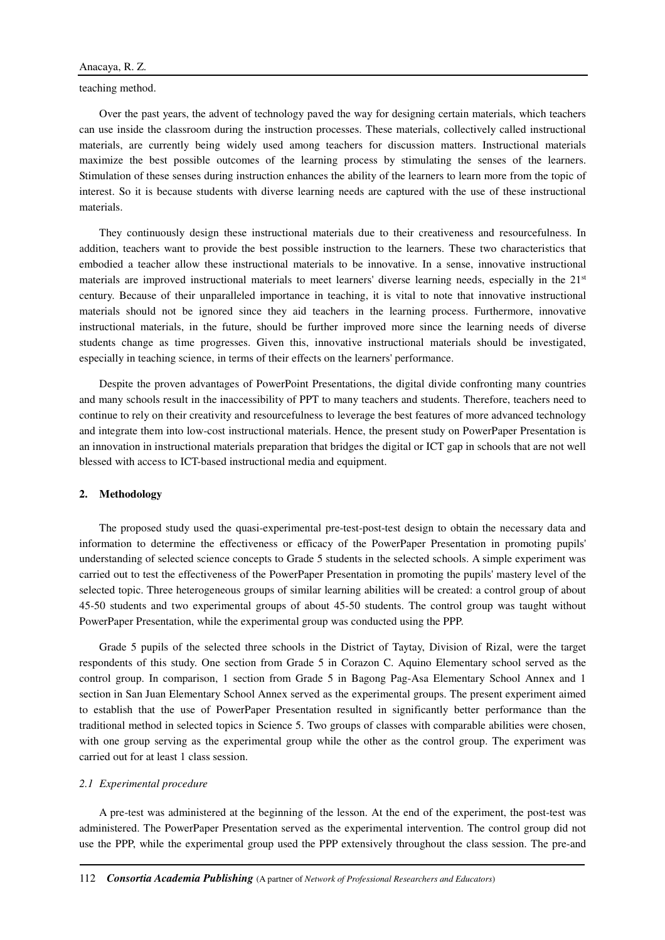teaching method.

Over the past years, the advent of technology paved the way for designing certain materials, which teachers can use inside the classroom during the instruction processes. These materials, collectively called instructional materials, are currently being widely used among teachers for discussion matters. Instructional materials maximize the best possible outcomes of the learning process by stimulating the senses of the learners. Stimulation of these senses during instruction enhances the ability of the learners to learn more from the topic of interest. So it is because students with diverse learning needs are captured with the use of these instructional materials.

They continuously design these instructional materials due to their creativeness and resourcefulness. In addition, teachers want to provide the best possible instruction to the learners. These two characteristics that embodied a teacher allow these instructional materials to be innovative. In a sense, innovative instructional materials are improved instructional materials to meet learners' diverse learning needs, especially in the 21<sup>st</sup> century. Because of their unparalleled importance in teaching, it is vital to note that innovative instructional materials should not be ignored since they aid teachers in the learning process. Furthermore, innovative instructional materials, in the future, should be further improved more since the learning needs of diverse students change as time progresses. Given this, innovative instructional materials should be investigated, especially in teaching science, in terms of their effects on the learners' performance.

Despite the proven advantages of PowerPoint Presentations, the digital divide confronting many countries and many schools result in the inaccessibility of PPT to many teachers and students. Therefore, teachers need to continue to rely on their creativity and resourcefulness to leverage the best features of more advanced technology and integrate them into low-cost instructional materials. Hence, the present study on PowerPaper Presentation is an innovation in instructional materials preparation that bridges the digital or ICT gap in schools that are not well blessed with access to ICT-based instructional media and equipment.

# **2. Methodology**

The proposed study used the quasi-experimental pre-test-post-test design to obtain the necessary data and information to determine the effectiveness or efficacy of the PowerPaper Presentation in promoting pupils' understanding of selected science concepts to Grade 5 students in the selected schools. A simple experiment was carried out to test the effectiveness of the PowerPaper Presentation in promoting the pupils' mastery level of the selected topic. Three heterogeneous groups of similar learning abilities will be created: a control group of about 45-50 students and two experimental groups of about 45-50 students. The control group was taught without PowerPaper Presentation, while the experimental group was conducted using the PPP.

Grade 5 pupils of the selected three schools in the District of Taytay, Division of Rizal, were the target respondents of this study. One section from Grade 5 in Corazon C. Aquino Elementary school served as the control group. In comparison, 1 section from Grade 5 in Bagong Pag-Asa Elementary School Annex and 1 section in San Juan Elementary School Annex served as the experimental groups. The present experiment aimed to establish that the use of PowerPaper Presentation resulted in significantly better performance than the traditional method in selected topics in Science 5. Two groups of classes with comparable abilities were chosen, with one group serving as the experimental group while the other as the control group. The experiment was carried out for at least 1 class session.

### *2.1 Experimental procedure*

A pre-test was administered at the beginning of the lesson. At the end of the experiment, the post-test was administered. The PowerPaper Presentation served as the experimental intervention. The control group did not use the PPP, while the experimental group used the PPP extensively throughout the class session. The pre-and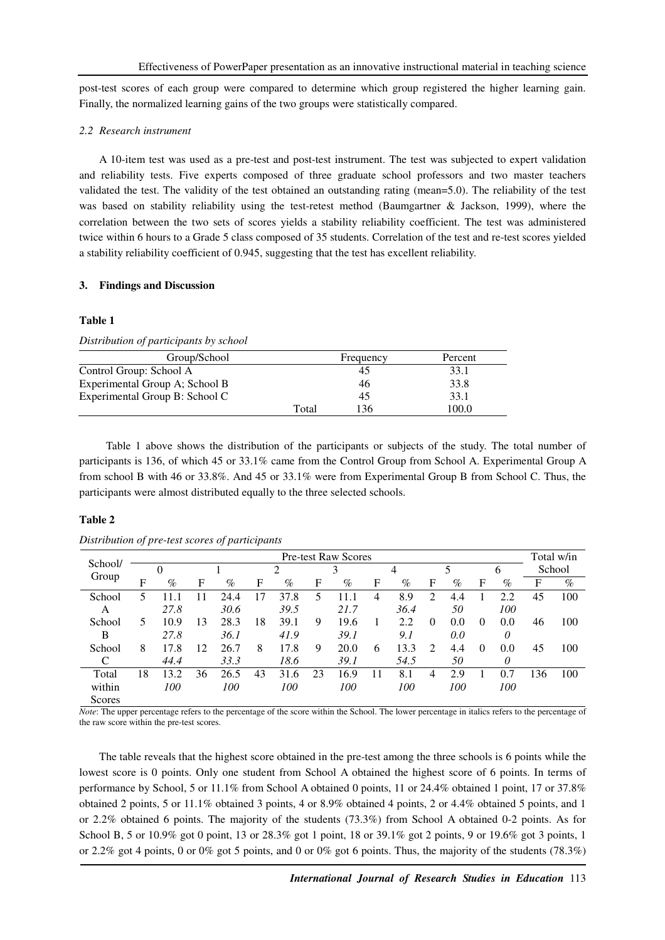post-test scores of each group were compared to determine which group registered the higher learning gain. Finally, the normalized learning gains of the two groups were statistically compared.

# *2.2 Research instrument*

A 10-item test was used as a pre-test and post-test instrument. The test was subjected to expert validation and reliability tests. Five experts composed of three graduate school professors and two master teachers validated the test. The validity of the test obtained an outstanding rating (mean=5.0). The reliability of the test was based on stability reliability using the test-retest method (Baumgartner & Jackson, 1999), where the correlation between the two sets of scores yields a stability reliability coefficient. The test was administered twice within 6 hours to a Grade 5 class composed of 35 students. Correlation of the test and re-test scores yielded a stability reliability coefficient of 0.945, suggesting that the test has excellent reliability.

# **3. Findings and Discussion**

### **Table 1**

#### *Distribution of participants by school*

| Group/School                   |       | Frequency | Percent |
|--------------------------------|-------|-----------|---------|
| Control Group: School A        |       | 45        | 33.1    |
| Experimental Group A; School B |       | 46        | 33.8    |
| Experimental Group B: School C |       | 45        | 33.1    |
|                                | Total | 136       | 100.0   |

 Table 1 above shows the distribution of the participants or subjects of the study. The total number of participants is 136, of which 45 or 33.1% came from the Control Group from School A. Experimental Group A from school B with 46 or 33.8%. And 45 or 33.1% were from Experimental Group B from School C. Thus, the participants were almost distributed equally to the three selected schools.

#### **Table 2**

| School/ |    |          |             |      |     |      |    | <b>Pre-test Raw Scores</b> |    |            |                |      |          |               |     | Total w/in |
|---------|----|----------|-------------|------|-----|------|----|----------------------------|----|------------|----------------|------|----------|---------------|-----|------------|
|         |    | $\theta$ |             |      |     |      |    | 3                          |    | 4          |                | 5    |          | $\mathfrak b$ |     | School     |
| Group   | F  | $\%$     | $\mathbf F$ | $\%$ | F   | $\%$ | F  | $\%$                       | F  | $\%$       | F              | $\%$ | F        | $\%$          | F   | $\%$       |
| School  |    | 11.1     |             | 24.4 | . 7 | 37.8 | 5  | 11.1                       | 4  | 8.9        | $\mathfrak{D}$ | 4.4  |          | 2.2           | 45  | 100        |
| A       |    | 27.8     |             | 30.6 |     | 39.5 |    | 21.7                       |    | 36.4       |                | 50   |          | <i>100</i>    |     |            |
| School  | 5  | 10.9     | 13          | 28.3 | 18  | 39.1 | 9  | 19.6                       |    | 2.2        | 0              | 0.0  | $\Omega$ | 0.0           | 46  | 100        |
| B       |    | 27.8     |             | 36.1 |     | 41.9 |    | 39.1                       |    | 9.1        |                | 0.0  |          | 0             |     |            |
| School  | 8  | 17.8     | 12          | 26.7 | 8   | 17.8 | 9  | 20.0                       | 6  | 13.3       | 2              | 4.4  | $\Omega$ | 0.0           | 45  | 100        |
|         |    | 44.4     |             | 33.3 |     | 18.6 |    | 39.1                       |    | 54.5       |                | 50   |          | 0             |     |            |
| Total   | 18 | 13.2     | 36          | 26.5 | 43  | 31.6 | 23 | 16.9                       | 11 | 8.1        | 4              | 2.9  |          | 0.7           | 136 | 100        |
| within  |    | 100      |             | 100  |     | 100  |    | <i>100</i>                 |    | <i>100</i> |                | 100  |          | <i>100</i>    |     |            |
| Scores  |    |          |             |      |     |      |    |                            |    |            |                |      |          |               |     |            |

*Distribution of pre-test scores of participants* 

*Note*: The upper percentage refers to the percentage of the score within the School. The lower percentage in italics refers to the percentage of the raw score within the pre-test scores.

The table reveals that the highest score obtained in the pre-test among the three schools is 6 points while the lowest score is 0 points. Only one student from School A obtained the highest score of 6 points. In terms of performance by School, 5 or 11.1% from School A obtained 0 points, 11 or 24.4% obtained 1 point, 17 or 37.8% obtained 2 points, 5 or 11.1% obtained 3 points, 4 or 8.9% obtained 4 points, 2 or 4.4% obtained 5 points, and 1 or 2.2% obtained 6 points. The majority of the students (73.3%) from School A obtained 0-2 points. As for School B, 5 or 10.9% got 0 point, 13 or 28.3% got 1 point, 18 or 39.1% got 2 points, 9 or 19.6% got 3 points, 1 or 2.2% got 4 points, 0 or 0% got 5 points, and 0 or 0% got 6 points. Thus, the majority of the students (78.3%)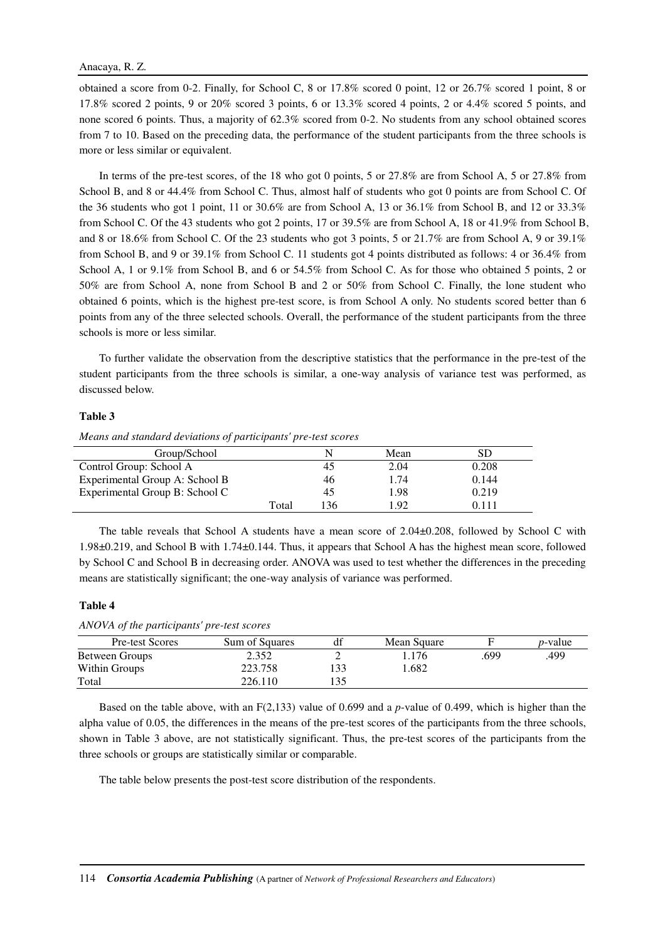obtained a score from 0-2. Finally, for School C, 8 or 17.8% scored 0 point, 12 or 26.7% scored 1 point, 8 or 17.8% scored 2 points, 9 or 20% scored 3 points, 6 or 13.3% scored 4 points, 2 or 4.4% scored 5 points, and none scored 6 points. Thus, a majority of 62.3% scored from 0-2. No students from any school obtained scores from 7 to 10. Based on the preceding data, the performance of the student participants from the three schools is more or less similar or equivalent.

In terms of the pre-test scores, of the 18 who got 0 points, 5 or 27.8% are from School A, 5 or 27.8% from School B, and 8 or 44.4% from School C. Thus, almost half of students who got 0 points are from School C. Of the 36 students who got 1 point, 11 or 30.6% are from School A, 13 or 36.1% from School B, and 12 or 33.3% from School C. Of the 43 students who got 2 points, 17 or 39.5% are from School A, 18 or 41.9% from School B, and 8 or 18.6% from School C. Of the 23 students who got 3 points, 5 or 21.7% are from School A, 9 or 39.1% from School B, and 9 or 39.1% from School C. 11 students got 4 points distributed as follows: 4 or 36.4% from School A, 1 or 9.1% from School B, and 6 or 54.5% from School C. As for those who obtained 5 points, 2 or 50% are from School A, none from School B and 2 or 50% from School C. Finally, the lone student who obtained 6 points, which is the highest pre-test score, is from School A only. No students scored better than 6 points from any of the three selected schools. Overall, the performance of the student participants from the three schools is more or less similar.

To further validate the observation from the descriptive statistics that the performance in the pre-test of the student participants from the three schools is similar, a one-way analysis of variance test was performed, as discussed below.

#### **Table 3**

*Means and standard deviations of participants' pre-test scores* 

| Group/School                   |       |    | Mean | SD    |
|--------------------------------|-------|----|------|-------|
| Control Group: School A        |       | 45 | 2.04 | 0.208 |
| Experimental Group A: School B |       | 46 | 1.74 | 0.144 |
| Experimental Group B: School C |       | 45 | 1.98 | 0.219 |
|                                | Total | 36 | 192  | 0.111 |

The table reveals that School A students have a mean score of 2.04±0.208, followed by School C with 1.98±0.219, and School B with 1.74±0.144. Thus, it appears that School A has the highest mean score, followed by School C and School B in decreasing order. ANOVA was used to test whether the differences in the preceding means are statistically significant; the one-way analysis of variance was performed.

# **Table 4**

*ANOVA of the participants' pre-test scores* 

| Pre-test Scores | Sum of Squares | df  | Mean Square |      | <i>p</i> -value |
|-----------------|----------------|-----|-------------|------|-----------------|
| Between Groups  | 2.352          |     | . . 176     | .699 | .499            |
| Within Groups   | 223.758        | 133 | 1.682       |      |                 |
| Total           | 226.110        | 135 |             |      |                 |

Based on the table above, with an F(2,133) value of 0.699 and a *p*-value of 0.499, which is higher than the alpha value of 0.05, the differences in the means of the pre-test scores of the participants from the three schools, shown in Table 3 above, are not statistically significant. Thus, the pre-test scores of the participants from the three schools or groups are statistically similar or comparable.

The table below presents the post-test score distribution of the respondents.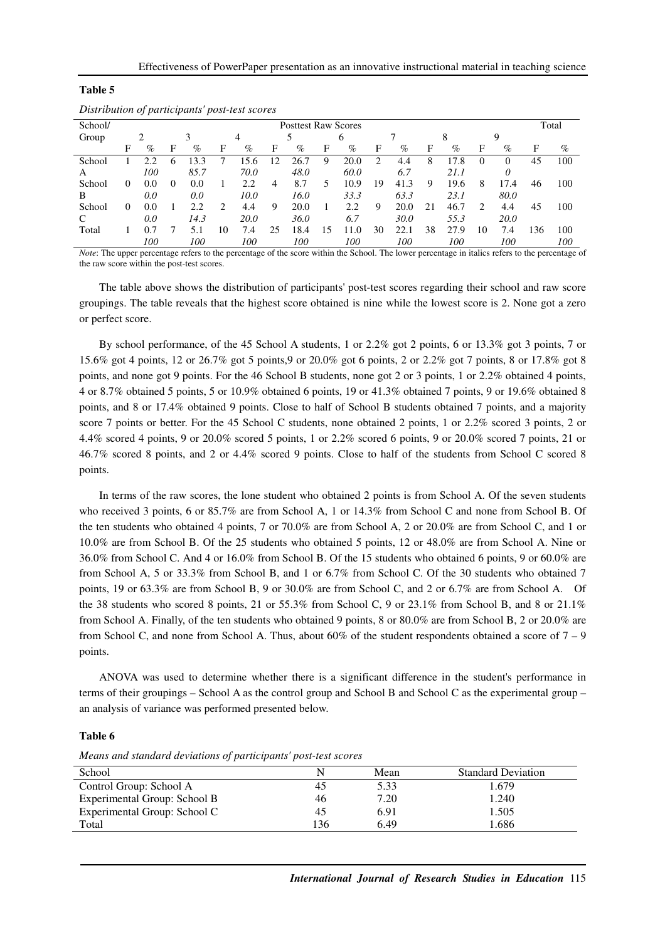| Distribution of participants post-test scores |          |                            |              |      |    |      |    |      |    |      |    |      |    |      |          |          |     |      |
|-----------------------------------------------|----------|----------------------------|--------------|------|----|------|----|------|----|------|----|------|----|------|----------|----------|-----|------|
| School/                                       |          | <b>Posttest Raw Scores</b> |              |      |    |      |    |      |    |      |    |      |    |      |          | Total    |     |      |
| Group                                         |          | ∍                          |              | 3    |    | 4    |    |      |    | 6    |    |      |    | 8    |          | 9        |     |      |
|                                               | F        | $\%$                       | F            | $\%$ | F  | %    | F  | $\%$ | F  | $\%$ | F  | $\%$ | F  | $\%$ | F        | $\%$     | F   | $\%$ |
| School                                        |          |                            | <sub>0</sub> | 13.3 |    | 15.6 | 12 | 26.7 | 9  | 20.0 |    | 4.4  | 8  | 17.8 | $\theta$ | $\Omega$ | 45  | 100  |
| A                                             |          | 100                        |              | 85.7 |    | 70.0 |    | 48.0 |    | 60.0 |    | 6.7  |    | 21.1 |          | 0        |     |      |
| School                                        | $\theta$ | 0.0                        | $\Omega$     | 0.0  |    | 2.2  | 4  | 8.7  | 5  | 10.9 | 19 | 41.3 | 9  | 19.6 | 8        | 17.4     | 46  | 100  |
| B                                             |          | 0.0                        |              | 0.0  |    | 10.0 |    | 16.0 |    | 33.3 |    | 63.3 |    | 23.1 |          | 80.0     |     |      |
| School                                        | 0        | 0.0                        |              | 2.2  | 2  | 4.4  | 9  | 20.0 |    | 2.2  | 9  | 20.0 | 21 | 46.7 | 2        | 4.4      | 45  | 100  |
|                                               |          | 0.0                        |              | 14.3 |    | 20.0 |    | 36.0 |    | 6.7  |    | 30.0 |    | 55.3 |          | 20.0     |     |      |
| Total                                         |          |                            |              |      | 10 | 7.4  | 25 | 18.4 | 15 | 11.0 | 30 | 22.1 | 38 | 27.9 | 10       | 7.4      | 136 | 100  |
|                                               |          | 100                        |              | 100  |    | 100  |    | 100  |    | 100  |    | 100  |    | 100  |          | 100      |     | 100  |

*Distribution of participants' post-test scores* 

**Table 5** 

*Note*: The upper percentage refers to the percentage of the score within the School. The lower percentage in italics refers to the percentage of the raw score within the post-test scores.

The table above shows the distribution of participants' post-test scores regarding their school and raw score groupings. The table reveals that the highest score obtained is nine while the lowest score is 2. None got a zero or perfect score.

By school performance, of the 45 School A students, 1 or 2.2% got 2 points, 6 or 13.3% got 3 points, 7 or 15.6% got 4 points, 12 or 26.7% got 5 points,9 or 20.0% got 6 points, 2 or 2.2% got 7 points, 8 or 17.8% got 8 points, and none got 9 points. For the 46 School B students, none got 2 or 3 points, 1 or 2.2% obtained 4 points, 4 or 8.7% obtained 5 points, 5 or 10.9% obtained 6 points, 19 or 41.3% obtained 7 points, 9 or 19.6% obtained 8 points, and 8 or 17.4% obtained 9 points. Close to half of School B students obtained 7 points, and a majority score 7 points or better. For the 45 School C students, none obtained 2 points, 1 or 2.2% scored 3 points, 2 or 4.4% scored 4 points, 9 or 20.0% scored 5 points, 1 or 2.2% scored 6 points, 9 or 20.0% scored 7 points, 21 or 46.7% scored 8 points, and 2 or 4.4% scored 9 points. Close to half of the students from School C scored 8 points.

In terms of the raw scores, the lone student who obtained 2 points is from School A. Of the seven students who received 3 points, 6 or 85.7% are from School A, 1 or 14.3% from School C and none from School B. Of the ten students who obtained 4 points, 7 or 70.0% are from School A, 2 or 20.0% are from School C, and 1 or 10.0% are from School B. Of the 25 students who obtained 5 points, 12 or 48.0% are from School A. Nine or 36.0% from School C. And 4 or 16.0% from School B. Of the 15 students who obtained 6 points, 9 or 60.0% are from School A, 5 or 33.3% from School B, and 1 or 6.7% from School C. Of the 30 students who obtained 7 points, 19 or 63.3% are from School B, 9 or 30.0% are from School C, and 2 or 6.7% are from School A. Of the 38 students who scored 8 points, 21 or 55.3% from School C, 9 or 23.1% from School B, and 8 or 21.1% from School A. Finally, of the ten students who obtained 9 points, 8 or 80.0% are from School B, 2 or 20.0% are from School C, and none from School A. Thus, about 60% of the student respondents obtained a score of 7 – 9 points.

ANOVA was used to determine whether there is a significant difference in the student's performance in terms of their groupings – School A as the control group and School B and School C as the experimental group – an analysis of variance was performed presented below.

#### **Table 6**

*Means and standard deviations of participants' post-test scores* 

| School                       | N   | Mean | <b>Standard Deviation</b> |
|------------------------------|-----|------|---------------------------|
| Control Group: School A      | 45  | 5.33 | 1.679                     |
| Experimental Group: School B | 46  | 7.20 | 1.240                     |
| Experimental Group: School C | 45  | 6.91 | 1.505                     |
| Total                        | 136 | 6.49 | .686                      |
|                              |     |      |                           |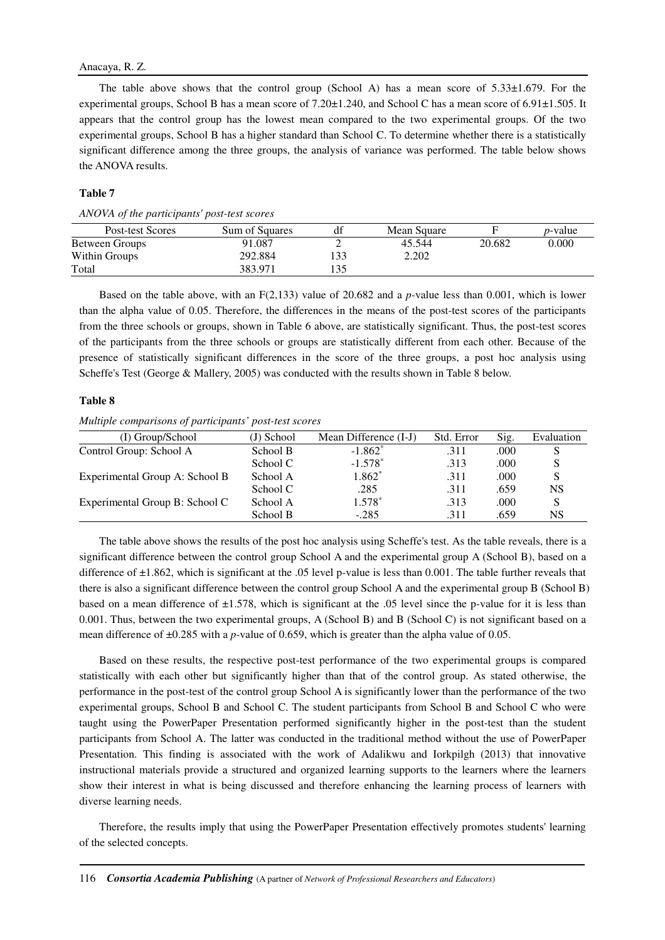# Anacaya, R. Z.

The table above shows that the control group (School A) has a mean score of  $5.33\pm1.679$ . For the experimental groups, School B has a mean score of 7.20±1.240, and School C has a mean score of 6.91±1.505. It appears that the control group has the lowest mean compared to the two experimental groups. Of the two experimental groups, School B has a higher standard than School C. To determine whether there is a statistically significant difference among the three groups, the analysis of variance was performed. The table below shows the ANOVA results.

# **Table 7**

|  | ANOVA of the participants' post-test scores |
|--|---------------------------------------------|
|  |                                             |

| Post-test Scores | Sum of Squares | df  | Mean Square |        | <i>p</i> -value |
|------------------|----------------|-----|-------------|--------|-----------------|
| Between Groups   | 91.087         | -   | 45.544      | 20.682 | $0.000\,$       |
| Within Groups    | 292.884        | 133 | 2.202       |        |                 |
| Total            | 383.971        | 135 |             |        |                 |

Based on the table above, with an F(2,133) value of 20.682 and a *p-*value less than 0.001, which is lower than the alpha value of 0.05. Therefore, the differences in the means of the post-test scores of the participants from the three schools or groups, shown in Table 6 above, are statistically significant. Thus, the post-test scores of the participants from the three schools or groups are statistically different from each other. Because of the presence of statistically significant differences in the score of the three groups, a post hoc analysis using Scheffe's Test (George & Mallery, 2005) was conducted with the results shown in Table 8 below.

### **Table 8**

*Multiple comparisons of participants' post-test scores* 

| (I) Group/School               | (J) School | Mean Difference (I-J) | Std. Error | Sig. | Evaluation |
|--------------------------------|------------|-----------------------|------------|------|------------|
| Control Group: School A        | School B   | $-1.862^*$            | .311       | .000 | S          |
|                                | School C   | $-1.578*$             | .313       | .000 | S          |
| Experimental Group A: School B | School A   | $1.862*$              | .311       | .000 | S          |
|                                | School C   | .285                  | .311       | .659 | <b>NS</b>  |
| Experimental Group B: School C | School A   | $1.578*$              | .313       | .000 | S          |
|                                | School B   | $-.285$               | .311       | .659 | NS         |

The table above shows the results of the post hoc analysis using Scheffe's test. As the table reveals, there is a significant difference between the control group School A and the experimental group A (School B), based on a difference of ±1.862, which is significant at the .05 level p-value is less than 0.001. The table further reveals that there is also a significant difference between the control group School A and the experimental group B (School B) based on a mean difference of  $\pm 1.578$ , which is significant at the .05 level since the p-value for it is less than 0.001. Thus, between the two experimental groups, A (School B) and B (School C) is not significant based on a mean difference of ±0.285 with a *p*-value of 0.659, which is greater than the alpha value of 0.05.

Based on these results, the respective post-test performance of the two experimental groups is compared statistically with each other but significantly higher than that of the control group. As stated otherwise, the performance in the post-test of the control group School A is significantly lower than the performance of the two experimental groups, School B and School C. The student participants from School B and School C who were taught using the PowerPaper Presentation performed significantly higher in the post-test than the student participants from School A. The latter was conducted in the traditional method without the use of PowerPaper Presentation. This finding is associated with the work of Adalikwu and Iorkpilgh (2013) that innovative instructional materials provide a structured and organized learning supports to the learners where the learners show their interest in what is being discussed and therefore enhancing the learning process of learners with diverse learning needs.

Therefore, the results imply that using the PowerPaper Presentation effectively promotes students' learning of the selected concepts.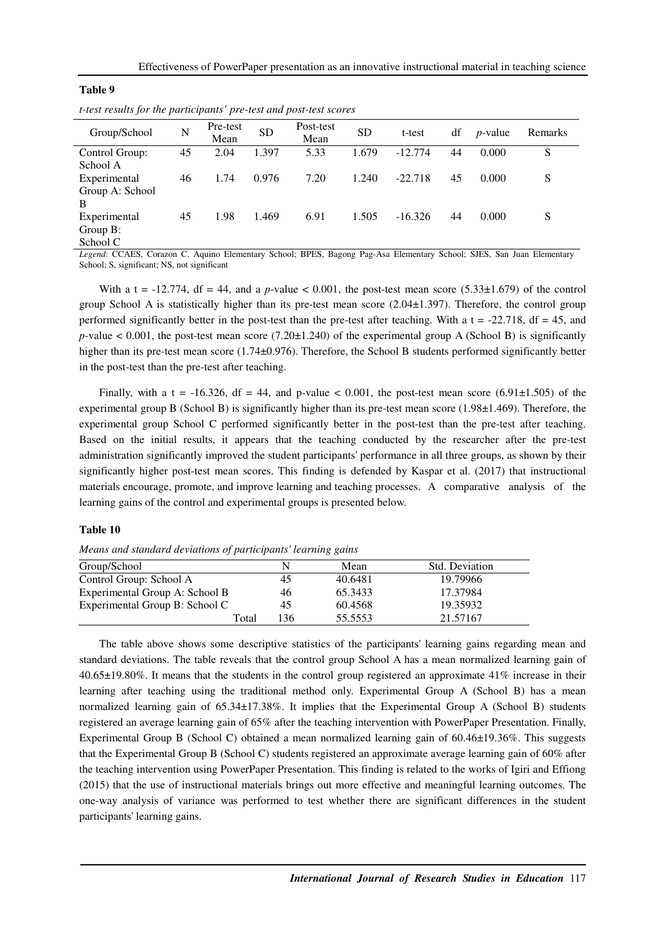| t-test results for the participants' pre-test and post-test scores |    |                  |           |                   |       |           |    |            |         |  |  |
|--------------------------------------------------------------------|----|------------------|-----------|-------------------|-------|-----------|----|------------|---------|--|--|
| Group/School                                                       | N  | Pre-test<br>Mean | <b>SD</b> | Post-test<br>Mean | SD    | t-test    | df | $p$ -value | Remarks |  |  |
| Control Group:                                                     | 45 | 2.04             | 1.397     | 5.33              | 1.679 | $-12.774$ | 44 | 0.000      | S       |  |  |
| School A                                                           |    |                  |           |                   |       |           |    |            |         |  |  |
| Experimental                                                       | 46 | 1.74             | 0.976     | 7.20              | 1.240 | $-22.718$ | 45 | 0.000      | S       |  |  |
| Group A: School                                                    |    |                  |           |                   |       |           |    |            |         |  |  |
| B                                                                  |    |                  |           |                   |       |           |    |            |         |  |  |
| Experimental                                                       | 45 | 1.98             | 1.469     | 6.91              | 1.505 | $-16.326$ | 44 | 0.000      | S       |  |  |
| Group B:                                                           |    |                  |           |                   |       |           |    |            |         |  |  |
| School C                                                           |    |                  |           |                   |       |           |    |            |         |  |  |

*Legend*: CCAES, Corazon C. Aquino Elementary School; BPES, Bagong Pag-Asa Elementary School; SJES, San Juan Elementary School; S, significant; NS, not significant

With a t =  $-12.774$ , df = 44, and a p-value < 0.001, the post-test mean score (5.33 $\pm$ 1.679) of the control group School A is statistically higher than its pre-test mean score (2.04±1.397). Therefore, the control group performed significantly better in the post-test than the pre-test after teaching. With a  $t = -22.718$ ,  $df = 45$ , and  $p$ -value  $< 0.001$ , the post-test mean score (7.20 $\pm$ 1.240) of the experimental group A (School B) is significantly higher than its pre-test mean score (1.74±0.976). Therefore, the School B students performed significantly better in the post-test than the pre-test after teaching.

Finally, with a t =  $-16.326$ , df = 44, and p-value < 0.001, the post-test mean score (6.91 $\pm$ 1.505) of the experimental group B (School B) is significantly higher than its pre-test mean score (1.98±1.469). Therefore, the experimental group School C performed significantly better in the post-test than the pre-test after teaching. Based on the initial results, it appears that the teaching conducted by the researcher after the pre-test administration significantly improved the student participants' performance in all three groups, as shown by their significantly higher post-test mean scores. This finding is defended by Kaspar et al. (2017) that instructional materials encourage, promote, and improve learning and teaching processes. A comparative analysis of the learning gains of the control and experimental groups is presented below.

#### **Table 10**

**Table 9** 

| Group/School                   | N   | Mean    | Std. Deviation |
|--------------------------------|-----|---------|----------------|
| Control Group: School A        | 45  | 40.6481 | 19.79966       |
| Experimental Group A: School B | 46  | 65.3433 | 17.37984       |
| Experimental Group B: School C | 45  | 60.4568 | 19.35932       |
| Total                          | 136 | 55.5553 | 21.57167       |

*Means and standard deviations of participants' learning gains* 

The table above shows some descriptive statistics of the participants' learning gains regarding mean and standard deviations. The table reveals that the control group School A has a mean normalized learning gain of 40.65±19.80%. It means that the students in the control group registered an approximate 41% increase in their learning after teaching using the traditional method only. Experimental Group A (School B) has a mean normalized learning gain of 65.34±17.38%. It implies that the Experimental Group A (School B) students registered an average learning gain of 65% after the teaching intervention with PowerPaper Presentation. Finally, Experimental Group B (School C) obtained a mean normalized learning gain of 60.46±19.36%. This suggests that the Experimental Group B (School C) students registered an approximate average learning gain of 60% after the teaching intervention using PowerPaper Presentation. This finding is related to the works of Igiri and Effiong (2015) that the use of instructional materials brings out more effective and meaningful learning outcomes. The one-way analysis of variance was performed to test whether there are significant differences in the student participants' learning gains.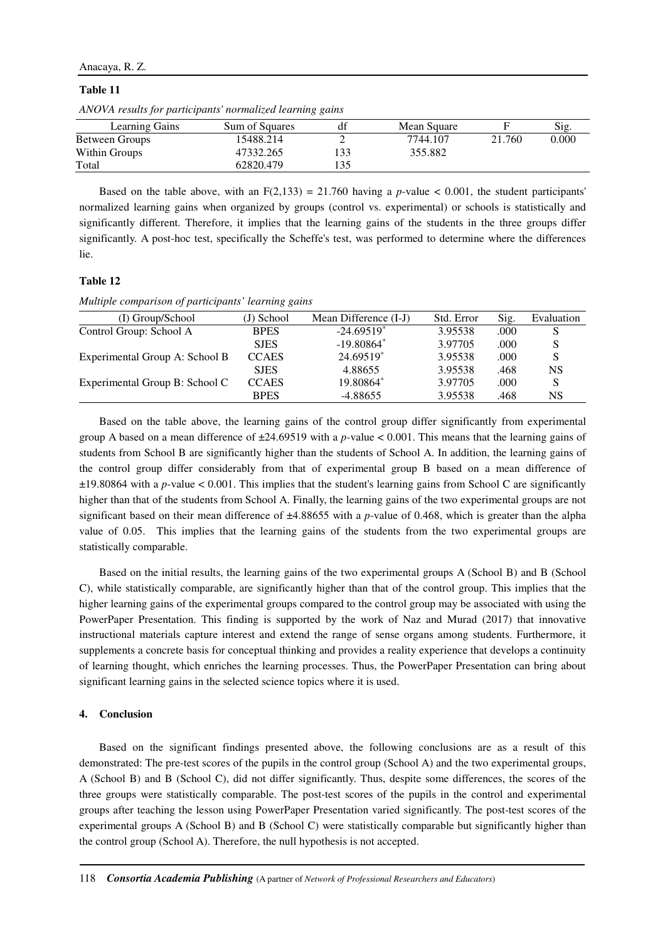## Anacaya, R. Z.

# **Table 11**

*ANOVA results for participants' normalized learning gains* 

| Learning Gains | Sum of Squares |     | Mean Square |        | Sig.  |
|----------------|----------------|-----|-------------|--------|-------|
| Between Groups | 15488.214      |     | 7744.107    | 21.760 | 0.000 |
| Within Groups  | 47332.265      | 133 | 355.882     |        |       |
| Total          | 62820.479      |     |             |        |       |

Based on the table above, with an  $F(2,133) = 21.760$  having a *p*-value < 0.001, the student participants' normalized learning gains when organized by groups (control vs. experimental) or schools is statistically and significantly different. Therefore, it implies that the learning gains of the students in the three groups differ significantly. A post-hoc test, specifically the Scheffe's test, was performed to determine where the differences lie.

# **Table 12**

*Multiple comparison of participants' learning gains*

| (I) Group/School               | (J) School   | Mean Difference (I-J)    | Std. Error | Sig. | Evaluation |
|--------------------------------|--------------|--------------------------|------------|------|------------|
| Control Group: School A        | <b>BPES</b>  | $-24.69519$ <sup>*</sup> | 3.95538    | .000 | S          |
|                                | <b>SJES</b>  | $-19.80864*$             | 3.97705    | .000 | S          |
| Experimental Group A: School B | <b>CCAES</b> | 24.69519*                | 3.95538    | .000 | S          |
|                                | <b>SJES</b>  | 4.88655                  | 3.95538    | .468 | <b>NS</b>  |
| Experimental Group B: School C | <b>CCAES</b> | 19.80864*                | 3.97705    | .000 | S          |
|                                | <b>BPES</b>  | $-4.88655$               | 3.95538    | .468 | NS         |

Based on the table above, the learning gains of the control group differ significantly from experimental group A based on a mean difference of ±24.69519 with a *p-*value < 0.001. This means that the learning gains of students from School B are significantly higher than the students of School A. In addition, the learning gains of the control group differ considerably from that of experimental group B based on a mean difference of ±19.80864 with a *p*-value < 0.001. This implies that the student's learning gains from School C are significantly higher than that of the students from School A. Finally, the learning gains of the two experimental groups are not significant based on their mean difference of  $\pm 4.88655$  with a *p*-value of 0.468, which is greater than the alpha value of 0.05. This implies that the learning gains of the students from the two experimental groups are statistically comparable.

Based on the initial results, the learning gains of the two experimental groups A (School B) and B (School C), while statistically comparable, are significantly higher than that of the control group. This implies that the higher learning gains of the experimental groups compared to the control group may be associated with using the PowerPaper Presentation. This finding is supported by the work of Naz and Murad (2017) that innovative instructional materials capture interest and extend the range of sense organs among students. Furthermore, it supplements a concrete basis for conceptual thinking and provides a reality experience that develops a continuity of learning thought, which enriches the learning processes. Thus, the PowerPaper Presentation can bring about significant learning gains in the selected science topics where it is used.

# **4. Conclusion**

Based on the significant findings presented above, the following conclusions are as a result of this demonstrated: The pre-test scores of the pupils in the control group (School A) and the two experimental groups, A (School B) and B (School C), did not differ significantly. Thus, despite some differences, the scores of the three groups were statistically comparable. The post-test scores of the pupils in the control and experimental groups after teaching the lesson using PowerPaper Presentation varied significantly. The post-test scores of the experimental groups A (School B) and B (School C) were statistically comparable but significantly higher than the control group (School A). Therefore, the null hypothesis is not accepted.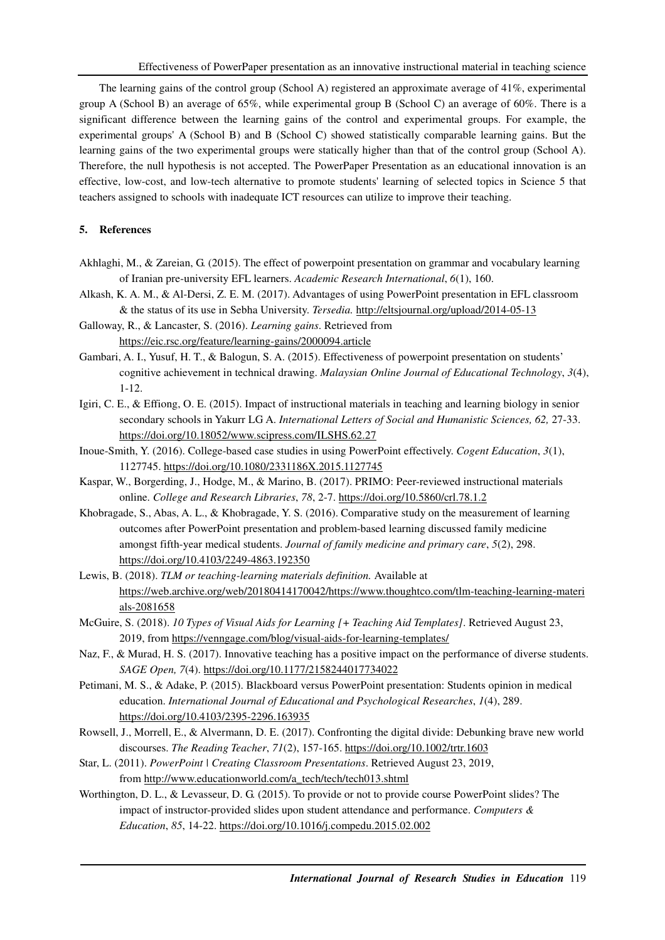The learning gains of the control group (School A) registered an approximate average of 41%, experimental group A (School B) an average of 65%, while experimental group B (School C) an average of 60%. There is a significant difference between the learning gains of the control and experimental groups. For example, the experimental groups' A (School B) and B (School C) showed statistically comparable learning gains. But the learning gains of the two experimental groups were statically higher than that of the control group (School A). Therefore, the null hypothesis is not accepted. The PowerPaper Presentation as an educational innovation is an effective, low-cost, and low-tech alternative to promote students' learning of selected topics in Science 5 that teachers assigned to schools with inadequate ICT resources can utilize to improve their teaching.

# **5. References**

- Akhlaghi, M., & Zareian, G. (2015). The effect of powerpoint presentation on grammar and vocabulary learning of Iranian pre-university EFL learners. *Academic Research International*, *6*(1), 160.
- Alkash, K. A. M., & Al-Dersi, Z. E. M. (2017). Advantages of using PowerPoint presentation in EFL classroom & the status of its use in Sebha University. *Tersedia.* http://eltsjournal.org/upload/2014-05-13
- Galloway, R., & Lancaster, S. (2016). *Learning gains*. Retrieved from https://eic.rsc.org/feature/learning-gains/2000094.article
- Gambari, A. I., Yusuf, H. T., & Balogun, S. A. (2015). Effectiveness of powerpoint presentation on students' cognitive achievement in technical drawing. *Malaysian Online Journal of Educational Technology*, *3*(4), 1-12.
- Igiri, C. E., & Effiong, O. E. (2015). Impact of instructional materials in teaching and learning biology in senior secondary schools in Yakurr LG A. *International Letters of Social and Humanistic Sciences, 62,* 27-33. https://doi.org/10.18052/www.scipress.com/ILSHS.62.27
- Inoue-Smith, Y. (2016). College-based case studies in using PowerPoint effectively. *Cogent Education*, *3*(1), 1127745. https://doi.org/10.1080/2331186X.2015.1127745
- Kaspar, W., Borgerding, J., Hodge, M., & Marino, B. (2017). PRIMO: Peer-reviewed instructional materials online. *College and Research Libraries*, *78*, 2-7. https://doi.org/10.5860/crl.78.1.2
- Khobragade, S., Abas, A. L., & Khobragade, Y. S. (2016). Comparative study on the measurement of learning outcomes after PowerPoint presentation and problem-based learning discussed family medicine amongst fifth-year medical students. *Journal of family medicine and primary care*, *5*(2), 298. https://doi.org/10.4103/2249-4863.192350
- Lewis, B. (2018). *TLM or teaching-learning materials definition.* Available at https://web.archive.org/web/20180414170042/https://www.thoughtco.com/tlm-teaching-learning-materi als-2081658
- McGuire, S. (2018). *10 Types of Visual Aids for Learning [+ Teaching Aid Templates]*. Retrieved August 23, 2019, from https://venngage.com/blog/visual-aids-for-learning-templates/
- Naz, F., & Murad, H. S. (2017). Innovative teaching has a positive impact on the performance of diverse students. *SAGE Open, 7*(4). https://doi.org/10.1177/2158244017734022
- Petimani, M. S., & Adake, P. (2015). Blackboard versus PowerPoint presentation: Students opinion in medical education. *International Journal of Educational and Psychological Researches*, *1*(4), 289. https://doi.org/10.4103/2395-2296.163935
- Rowsell, J., Morrell, E., & Alvermann, D. E. (2017). Confronting the digital divide: Debunking brave new world discourses. *The Reading Teacher*, *71*(2), 157-165. https://doi.org/10.1002/trtr.1603
- Star, L. (2011). *PowerPoint | Creating Classroom Presentations*. Retrieved August 23, 2019, from http://www.educationworld.com/a\_tech/tech/tech013.shtml
- Worthington, D. L., & Levasseur, D. G. (2015). To provide or not to provide course PowerPoint slides? The impact of instructor-provided slides upon student attendance and performance. *Computers & Education*, *85*, 14-22. https://doi.org/10.1016/j.compedu.2015.02.002